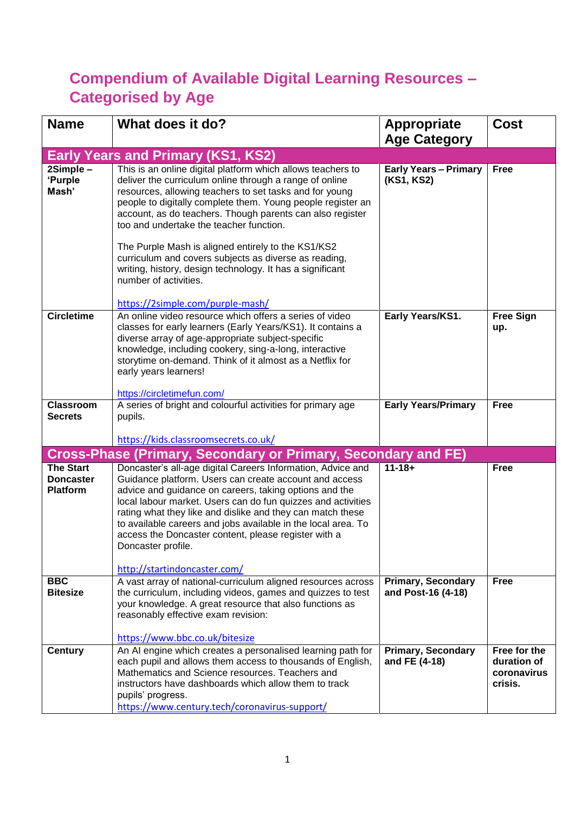## **Compendium of Available Digital Learning Resources – Categorised by Age**

| <b>Name</b>                                             | What does it do?                                                                                                                                                                                                                                                                                                                                                                                                                                                                                                                                                                                  | <b>Appropriate</b>                         | <b>Cost</b>                                           |
|---------------------------------------------------------|---------------------------------------------------------------------------------------------------------------------------------------------------------------------------------------------------------------------------------------------------------------------------------------------------------------------------------------------------------------------------------------------------------------------------------------------------------------------------------------------------------------------------------------------------------------------------------------------------|--------------------------------------------|-------------------------------------------------------|
|                                                         |                                                                                                                                                                                                                                                                                                                                                                                                                                                                                                                                                                                                   | <b>Age Category</b>                        |                                                       |
|                                                         | <b>Early Years and Primary (KS1, KS2)</b>                                                                                                                                                                                                                                                                                                                                                                                                                                                                                                                                                         |                                            |                                                       |
| 2Simple -<br>'Purple<br>Mash'                           | This is an online digital platform which allows teachers to<br>deliver the curriculum online through a range of online<br>resources, allowing teachers to set tasks and for young<br>people to digitally complete them. Young people register an<br>account, as do teachers. Though parents can also register<br>too and undertake the teacher function.<br>The Purple Mash is aligned entirely to the KS1/KS2<br>curriculum and covers subjects as diverse as reading,<br>writing, history, design technology. It has a significant<br>number of activities.<br>https://2simple.com/purple-mash/ | <b>Early Years - Primary</b><br>(KS1, KS2) | <b>Free</b>                                           |
| <b>Circletime</b>                                       | An online video resource which offers a series of video<br>classes for early learners (Early Years/KS1). It contains a<br>diverse array of age-appropriate subject-specific<br>knowledge, including cookery, sing-a-long, interactive<br>storytime on-demand. Think of it almost as a Netflix for<br>early years learners!<br>https://circletimefun.com/                                                                                                                                                                                                                                          | Early Years/KS1.                           | <b>Free Sign</b><br>up.                               |
| <b>Classroom</b>                                        | A series of bright and colourful activities for primary age                                                                                                                                                                                                                                                                                                                                                                                                                                                                                                                                       | <b>Early Years/Primary</b>                 | <b>Free</b>                                           |
| <b>Secrets</b>                                          | pupils.                                                                                                                                                                                                                                                                                                                                                                                                                                                                                                                                                                                           |                                            |                                                       |
|                                                         |                                                                                                                                                                                                                                                                                                                                                                                                                                                                                                                                                                                                   |                                            |                                                       |
|                                                         | https://kids.classroomsecrets.co.uk/                                                                                                                                                                                                                                                                                                                                                                                                                                                                                                                                                              |                                            |                                                       |
|                                                         | <b>Cross-Phase (Primary, Secondary or Primary, Secondary and FE)</b>                                                                                                                                                                                                                                                                                                                                                                                                                                                                                                                              |                                            |                                                       |
| <b>The Start</b><br><b>Doncaster</b><br><b>Platform</b> | Doncaster's all-age digital Careers Information, Advice and<br>Guidance platform. Users can create account and access<br>advice and guidance on careers, taking options and the<br>local labour market. Users can do fun quizzes and activities<br>rating what they like and dislike and they can match these<br>to available careers and jobs available in the local area. To<br>access the Doncaster content, please register with a<br>Doncaster profile.<br>http://startindoncaster.com/                                                                                                      | $11 - 18 +$                                | <b>Free</b>                                           |
| <b>BBC</b>                                              | A vast array of national-curriculum aligned resources across                                                                                                                                                                                                                                                                                                                                                                                                                                                                                                                                      | <b>Primary, Secondary</b>                  | <b>Free</b>                                           |
| <b>Bitesize</b>                                         | the curriculum, including videos, games and quizzes to test<br>your knowledge. A great resource that also functions as<br>reasonably effective exam revision:<br>https://www.bbc.co.uk/bitesize                                                                                                                                                                                                                                                                                                                                                                                                   | and Post-16 (4-18)                         |                                                       |
| <b>Century</b>                                          | An AI engine which creates a personalised learning path for<br>each pupil and allows them access to thousands of English,<br>Mathematics and Science resources. Teachers and<br>instructors have dashboards which allow them to track<br>pupils' progress.<br>https://www.century.tech/coronavirus-support/                                                                                                                                                                                                                                                                                       | <b>Primary, Secondary</b><br>and FE (4-18) | Free for the<br>duration of<br>coronavirus<br>crisis. |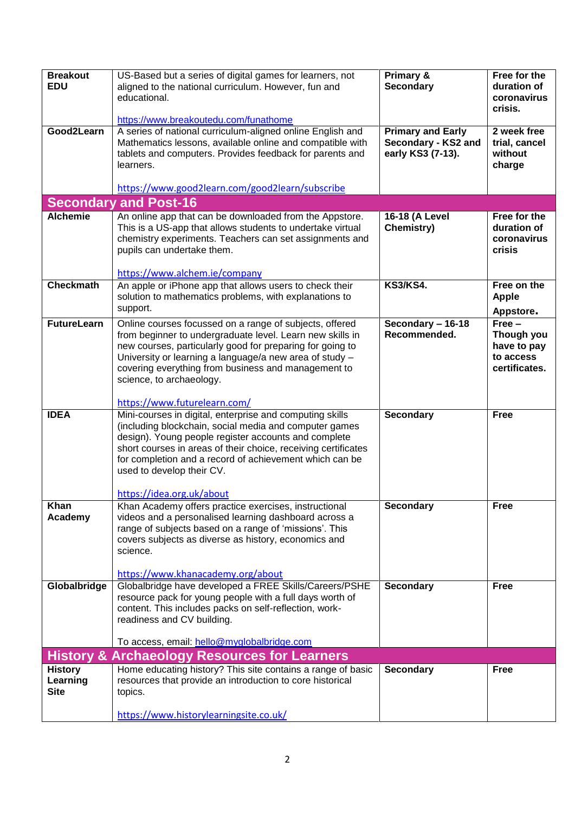| <b>Breakout</b><br><b>EDU</b> | US-Based but a series of digital games for learners, not<br>aligned to the national curriculum. However, fun and                                                                                 | Primary &<br><b>Secondary</b>                                        | Free for the<br>duration of                       |
|-------------------------------|--------------------------------------------------------------------------------------------------------------------------------------------------------------------------------------------------|----------------------------------------------------------------------|---------------------------------------------------|
|                               | educational.                                                                                                                                                                                     |                                                                      | coronavirus<br>crisis.                            |
|                               | https://www.breakoutedu.com/funathome                                                                                                                                                            |                                                                      |                                                   |
| Good2Learn                    | A series of national curriculum-aligned online English and<br>Mathematics lessons, available online and compatible with<br>tablets and computers. Provides feedback for parents and<br>learners. | <b>Primary and Early</b><br>Secondary - KS2 and<br>early KS3 (7-13). | 2 week free<br>trial, cancel<br>without<br>charge |
|                               | https://www.good2learn.com/good2learn/subscribe                                                                                                                                                  |                                                                      |                                                   |
|                               | <b>Secondary and Post-16</b>                                                                                                                                                                     |                                                                      |                                                   |
| <b>Alchemie</b>               | An online app that can be downloaded from the Appstore.                                                                                                                                          | 16-18 (A Level                                                       | Free for the                                      |
|                               | This is a US-app that allows students to undertake virtual                                                                                                                                       | Chemistry)                                                           | duration of                                       |
|                               | chemistry experiments. Teachers can set assignments and                                                                                                                                          |                                                                      | coronavirus                                       |
|                               | pupils can undertake them.                                                                                                                                                                       |                                                                      | crisis                                            |
|                               | https://www.alchem.ie/company                                                                                                                                                                    |                                                                      |                                                   |
| <b>Checkmath</b>              | An apple or iPhone app that allows users to check their                                                                                                                                          | <b>KS3/KS4.</b>                                                      | Free on the                                       |
|                               | solution to mathematics problems, with explanations to                                                                                                                                           |                                                                      | <b>Apple</b>                                      |
|                               | support.                                                                                                                                                                                         |                                                                      | Appstore.                                         |
| <b>FutureLearn</b>            | Online courses focussed on a range of subjects, offered                                                                                                                                          | Secondary - 16-18                                                    | $Free -$                                          |
|                               | from beginner to undergraduate level. Learn new skills in                                                                                                                                        | Recommended.                                                         | Though you                                        |
|                               | new courses, particularly good for preparing for going to<br>University or learning a language/a new area of study -                                                                             |                                                                      | have to pay<br>to access                          |
|                               | covering everything from business and management to                                                                                                                                              |                                                                      | certificates.                                     |
|                               | science, to archaeology.                                                                                                                                                                         |                                                                      |                                                   |
|                               |                                                                                                                                                                                                  |                                                                      |                                                   |
|                               | https://www.futurelearn.com/                                                                                                                                                                     |                                                                      |                                                   |
| <b>IDEA</b>                   | Mini-courses in digital, enterprise and computing skills                                                                                                                                         | <b>Secondary</b>                                                     | <b>Free</b>                                       |
|                               | (including blockchain, social media and computer games<br>design). Young people register accounts and complete                                                                                   |                                                                      |                                                   |
|                               | short courses in areas of their choice, receiving certificates                                                                                                                                   |                                                                      |                                                   |
|                               | for completion and a record of achievement which can be                                                                                                                                          |                                                                      |                                                   |
|                               | used to develop their CV.                                                                                                                                                                        |                                                                      |                                                   |
|                               |                                                                                                                                                                                                  |                                                                      |                                                   |
| <b>Khan</b>                   | https://idea.org.uk/about                                                                                                                                                                        | <b>Secondary</b>                                                     | <b>Free</b>                                       |
| Academy                       | Khan Academy offers practice exercises, instructional<br>videos and a personalised learning dashboard across a                                                                                   |                                                                      |                                                   |
|                               | range of subjects based on a range of 'missions'. This                                                                                                                                           |                                                                      |                                                   |
|                               | covers subjects as diverse as history, economics and                                                                                                                                             |                                                                      |                                                   |
|                               | science.                                                                                                                                                                                         |                                                                      |                                                   |
|                               | https://www.khanacademy.org/about                                                                                                                                                                |                                                                      |                                                   |
| Globalbridge                  | Globalbridge have developed a FREE Skills/Careers/PSHE                                                                                                                                           | <b>Secondary</b>                                                     | <b>Free</b>                                       |
|                               | resource pack for young people with a full days worth of                                                                                                                                         |                                                                      |                                                   |
|                               | content. This includes packs on self-reflection, work-                                                                                                                                           |                                                                      |                                                   |
|                               | readiness and CV building.                                                                                                                                                                       |                                                                      |                                                   |
|                               | To access, email: hello@myglobalbridge.com                                                                                                                                                       |                                                                      |                                                   |
|                               | <b>History &amp; Archaeology Resources for Learners</b>                                                                                                                                          |                                                                      |                                                   |
| <b>History</b>                | Home educating history? This site contains a range of basic                                                                                                                                      | <b>Secondary</b>                                                     | <b>Free</b>                                       |
| Learning                      | resources that provide an introduction to core historical                                                                                                                                        |                                                                      |                                                   |
| <b>Site</b>                   | topics.                                                                                                                                                                                          |                                                                      |                                                   |
|                               | https://www.historylearningsite.co.uk/                                                                                                                                                           |                                                                      |                                                   |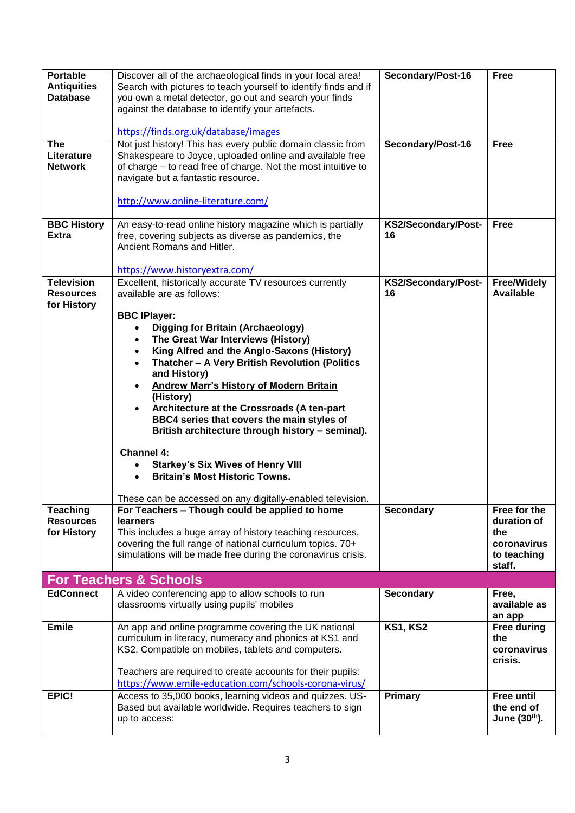| <b>Portable</b><br><b>Antiquities</b><br><b>Database</b> | Discover all of the archaeological finds in your local area!<br>Search with pictures to teach yourself to identify finds and if<br>you own a metal detector, go out and search your finds<br>against the database to identify your artefacts.<br>https://finds.org.uk/database/images                                                                                                                                                                                                                                                                                                                                                                                                                | Secondary/Post-16         | <b>Free</b>                                                                |
|----------------------------------------------------------|------------------------------------------------------------------------------------------------------------------------------------------------------------------------------------------------------------------------------------------------------------------------------------------------------------------------------------------------------------------------------------------------------------------------------------------------------------------------------------------------------------------------------------------------------------------------------------------------------------------------------------------------------------------------------------------------------|---------------------------|----------------------------------------------------------------------------|
| <b>The</b><br>Literature<br><b>Network</b>               | Not just history! This has every public domain classic from<br>Shakespeare to Joyce, uploaded online and available free<br>of charge – to read free of charge. Not the most intuitive to<br>navigate but a fantastic resource.<br>http://www.online-literature.com/                                                                                                                                                                                                                                                                                                                                                                                                                                  | Secondary/Post-16         | <b>Free</b>                                                                |
| <b>BBC History</b><br><b>Extra</b>                       | An easy-to-read online history magazine which is partially<br>free, covering subjects as diverse as pandemics, the<br>Ancient Romans and Hitler.<br>https://www.historyextra.com/                                                                                                                                                                                                                                                                                                                                                                                                                                                                                                                    | KS2/Secondary/Post-<br>16 | <b>Free</b>                                                                |
| <b>Television</b><br><b>Resources</b><br>for History     | Excellent, historically accurate TV resources currently<br>available are as follows:<br><b>BBC IPlayer:</b><br><b>Digging for Britain (Archaeology)</b><br>The Great War Interviews (History)<br>King Alfred and the Anglo-Saxons (History)<br>Thatcher - A Very British Revolution (Politics<br>and History)<br><b>Andrew Marr's History of Modern Britain</b><br>(History)<br>Architecture at the Crossroads (A ten-part<br>BBC4 series that covers the main styles of<br>British architecture through history - seminal).<br><b>Channel 4:</b><br><b>Starkey's Six Wives of Henry VIII</b><br><b>Britain's Most Historic Towns.</b><br>These can be accessed on any digitally-enabled television. | KS2/Secondary/Post-<br>16 | <b>Free/Widely</b><br><b>Available</b>                                     |
| <b>Teaching</b><br><b>Resources</b><br>for History       | For Teachers - Though could be applied to home<br><b>learners</b><br>This includes a huge array of history teaching resources,<br>covering the full range of national curriculum topics. 70+<br>simulations will be made free during the coronavirus crisis.                                                                                                                                                                                                                                                                                                                                                                                                                                         | <b>Secondary</b>          | Free for the<br>duration of<br>the<br>coronavirus<br>to teaching<br>staff. |
|                                                          | <b>For Teachers &amp; Schools</b>                                                                                                                                                                                                                                                                                                                                                                                                                                                                                                                                                                                                                                                                    |                           |                                                                            |
| <b>EdConnect</b>                                         | A video conferencing app to allow schools to run<br>classrooms virtually using pupils' mobiles                                                                                                                                                                                                                                                                                                                                                                                                                                                                                                                                                                                                       | Secondary                 | Free,<br>available as<br>an app                                            |
| <b>Emile</b>                                             | An app and online programme covering the UK national<br>curriculum in literacy, numeracy and phonics at KS1 and<br>KS2. Compatible on mobiles, tablets and computers.<br>Teachers are required to create accounts for their pupils:                                                                                                                                                                                                                                                                                                                                                                                                                                                                  | <b>KS1, KS2</b>           | <b>Free during</b><br>the<br>coronavirus<br>crisis.                        |
|                                                          | https://www.emile-education.com/schools-corona-virus/                                                                                                                                                                                                                                                                                                                                                                                                                                                                                                                                                                                                                                                |                           |                                                                            |
| EPIC!                                                    | Access to 35,000 books, learning videos and quizzes. US-<br>Based but available worldwide. Requires teachers to sign<br>up to access:                                                                                                                                                                                                                                                                                                                                                                                                                                                                                                                                                                | Primary                   | <b>Free until</b><br>the end of<br>June (30th).                            |